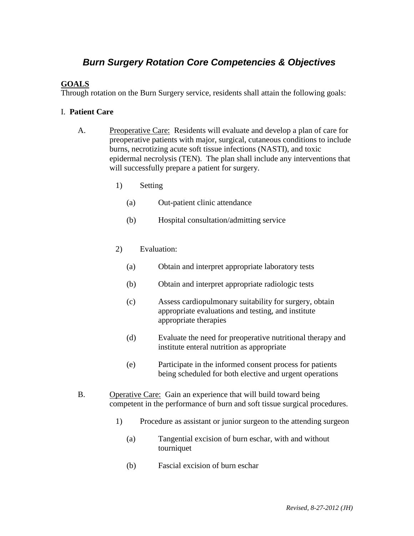# *Burn Surgery Rotation Core Competencies & Objectives*

### **GOALS**

Through rotation on the Burn Surgery service, residents shall attain the following goals:

#### I. **Patient Care**

- A. Preoperative Care: Residents will evaluate and develop a plan of care for preoperative patients with major, surgical, cutaneous conditions to include burns, necrotizing acute soft tissue infections (NASTI), and toxic epidermal necrolysis (TEN). The plan shall include any interventions that will successfully prepare a patient for surgery.
	- 1) Setting
		- (a) Out-patient clinic attendance
		- (b) Hospital consultation/admitting service

#### 2) Evaluation:

- (a) Obtain and interpret appropriate laboratory tests
- (b) Obtain and interpret appropriate radiologic tests
- (c) Assess cardiopulmonary suitability for surgery, obtain appropriate evaluations and testing, and institute appropriate therapies
- (d) Evaluate the need for preoperative nutritional therapy and institute enteral nutrition as appropriate
- (e) Participate in the informed consent process for patients being scheduled for both elective and urgent operations
- B. Operative Care: Gain an experience that will build toward being competent in the performance of burn and soft tissue surgical procedures.
	- 1) Procedure as assistant or junior surgeon to the attending surgeon
		- (a) Tangential excision of burn eschar, with and without tourniquet
		- (b) Fascial excision of burn eschar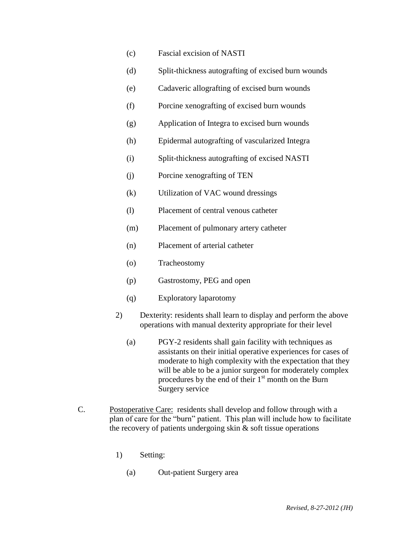- (c) Fascial excision of NASTI
- (d) Split-thickness autografting of excised burn wounds
- (e) Cadaveric allografting of excised burn wounds
- (f) Porcine xenografting of excised burn wounds
- (g) Application of Integra to excised burn wounds
- (h) Epidermal autografting of vascularized Integra
- (i) Split-thickness autografting of excised NASTI
- (j) Porcine xenografting of TEN
- (k) Utilization of VAC wound dressings
- (l) Placement of central venous catheter
- (m) Placement of pulmonary artery catheter
- (n) Placement of arterial catheter
- (o) Tracheostomy
- (p) Gastrostomy, PEG and open
- (q) Exploratory laparotomy
- 2) Dexterity: residents shall learn to display and perform the above operations with manual dexterity appropriate for their level
	- (a) PGY-2 residents shall gain facility with techniques as assistants on their initial operative experiences for cases of moderate to high complexity with the expectation that they will be able to be a junior surgeon for moderately complex procedures by the end of their  $1<sup>st</sup>$  month on the Burn Surgery service
- C. Postoperative Care: residents shall develop and follow through with a plan of care for the "burn" patient. This plan will include how to facilitate the recovery of patients undergoing skin & soft tissue operations
	- 1) Setting:
		- (a) Out-patient Surgery area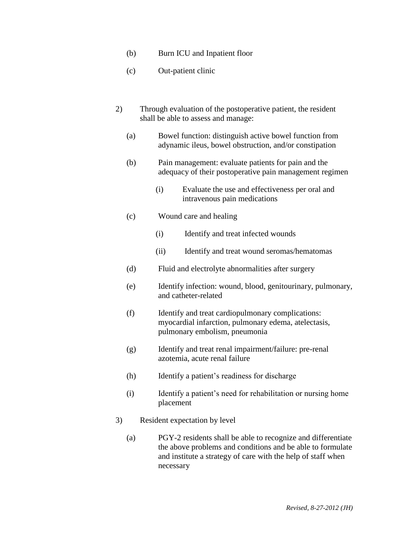- (b) Burn ICU and Inpatient floor
- (c) Out-patient clinic
- 2) Through evaluation of the postoperative patient, the resident shall be able to assess and manage:
	- (a) Bowel function: distinguish active bowel function from adynamic ileus, bowel obstruction, and/or constipation
	- (b) Pain management: evaluate patients for pain and the adequacy of their postoperative pain management regimen
		- (i) Evaluate the use and effectiveness per oral and intravenous pain medications
	- (c) Wound care and healing
		- (i) Identify and treat infected wounds
		- (ii) Identify and treat wound seromas/hematomas
	- (d) Fluid and electrolyte abnormalities after surgery
	- (e) Identify infection: wound, blood, genitourinary, pulmonary, and catheter-related
	- (f) Identify and treat cardiopulmonary complications: myocardial infarction, pulmonary edema, atelectasis, pulmonary embolism, pneumonia
	- (g) Identify and treat renal impairment/failure: pre-renal azotemia, acute renal failure
	- (h) Identify a patient's readiness for discharge
	- (i) Identify a patient's need for rehabilitation or nursing home placement
- 3) Resident expectation by level
	- (a) PGY-2 residents shall be able to recognize and differentiate the above problems and conditions and be able to formulate and institute a strategy of care with the help of staff when necessary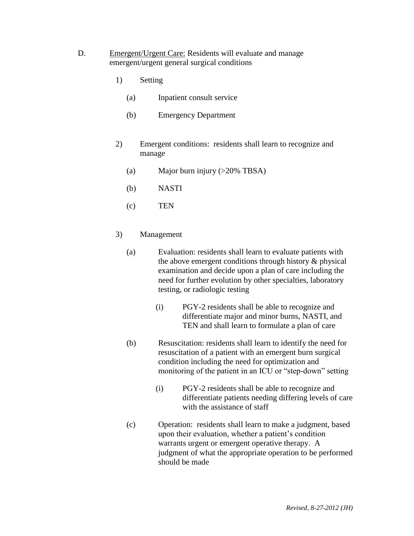- D. Emergent/Urgent Care: Residents will evaluate and manage emergent/urgent general surgical conditions
	- 1) Setting
		- (a) Inpatient consult service
		- (b) Emergency Department
	- 2) Emergent conditions: residents shall learn to recognize and manage
		- (a) Major burn injury (>20% TBSA)
		- (b) NASTI
		- (c) TEN
	- 3) Management
		- (a) Evaluation: residents shall learn to evaluate patients with the above emergent conditions through history & physical examination and decide upon a plan of care including the need for further evolution by other specialties, laboratory testing, or radiologic testing
			- (i) PGY-2 residents shall be able to recognize and differentiate major and minor burns, NASTI, and TEN and shall learn to formulate a plan of care
		- (b) Resuscitation: residents shall learn to identify the need for resuscitation of a patient with an emergent burn surgical condition including the need for optimization and monitoring of the patient in an ICU or "step-down" setting
			- (i) PGY-2 residents shall be able to recognize and differentiate patients needing differing levels of care with the assistance of staff
		- (c) Operation: residents shall learn to make a judgment, based upon their evaluation, whether a patient's condition warrants urgent or emergent operative therapy. A judgment of what the appropriate operation to be performed should be made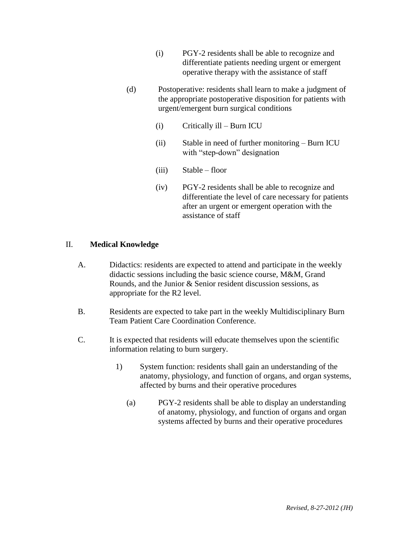- (i) PGY-2 residents shall be able to recognize and differentiate patients needing urgent or emergent operative therapy with the assistance of staff
- (d) Postoperative: residents shall learn to make a judgment of the appropriate postoperative disposition for patients with urgent/emergent burn surgical conditions
	- (i) Critically ill Burn ICU
	- (ii) Stable in need of further monitoring Burn ICU with "step-down" designation
	- (iii) Stable floor
	- (iv) PGY-2 residents shall be able to recognize and differentiate the level of care necessary for patients after an urgent or emergent operation with the assistance of staff

#### II. **Medical Knowledge**

- A. Didactics: residents are expected to attend and participate in the weekly didactic sessions including the basic science course, M&M, Grand Rounds, and the Junior & Senior resident discussion sessions, as appropriate for the R2 level.
- B. Residents are expected to take part in the weekly Multidisciplinary Burn Team Patient Care Coordination Conference.
- C. It is expected that residents will educate themselves upon the scientific information relating to burn surgery.
	- 1) System function: residents shall gain an understanding of the anatomy, physiology, and function of organs, and organ systems, affected by burns and their operative procedures
		- (a) PGY-2 residents shall be able to display an understanding of anatomy, physiology, and function of organs and organ systems affected by burns and their operative procedures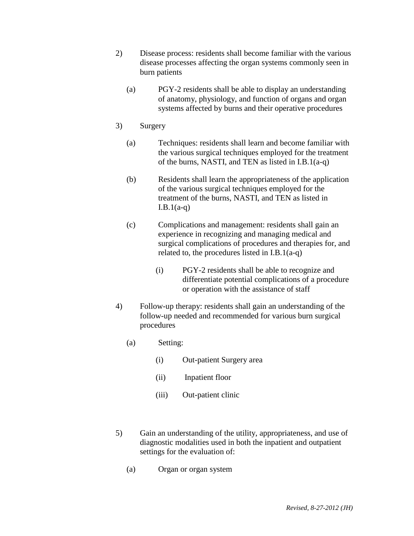- 2) Disease process: residents shall become familiar with the various disease processes affecting the organ systems commonly seen in burn patients
	- (a) PGY-2 residents shall be able to display an understanding of anatomy, physiology, and function of organs and organ systems affected by burns and their operative procedures

#### 3) Surgery

- (a) Techniques: residents shall learn and become familiar with the various surgical techniques employed for the treatment of the burns, NASTI, and TEN as listed in I.B.1(a-q)
- (b) Residents shall learn the appropriateness of the application of the various surgical techniques employed for the treatment of the burns, NASTI, and TEN as listed in  $I.B.1(a-q)$
- (c) Complications and management: residents shall gain an experience in recognizing and managing medical and surgical complications of procedures and therapies for, and related to, the procedures listed in I.B.1(a-q)
	- (i) PGY-2 residents shall be able to recognize and differentiate potential complications of a procedure or operation with the assistance of staff
- 4) Follow-up therapy: residents shall gain an understanding of the follow-up needed and recommended for various burn surgical procedures
	- (a) Setting:
		- (i) Out-patient Surgery area
		- (ii) Inpatient floor
		- (iii) Out-patient clinic
- 5) Gain an understanding of the utility, appropriateness, and use of diagnostic modalities used in both the inpatient and outpatient settings for the evaluation of:
	- (a) Organ or organ system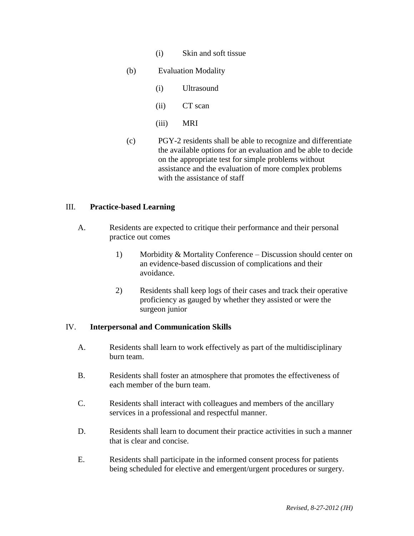- (i) Skin and soft tissue
- (b) Evaluation Modality
	- (i) Ultrasound
	- (ii) CT scan
	- (iii) MRI
- (c) PGY-2 residents shall be able to recognize and differentiate the available options for an evaluation and be able to decide on the appropriate test for simple problems without assistance and the evaluation of more complex problems with the assistance of staff

#### III. **Practice-based Learning**

- A. Residents are expected to critique their performance and their personal practice out comes
	- 1) Morbidity & Mortality Conference Discussion should center on an evidence-based discussion of complications and their avoidance.
	- 2) Residents shall keep logs of their cases and track their operative proficiency as gauged by whether they assisted or were the surgeon junior

#### IV. **Interpersonal and Communication Skills**

- A. Residents shall learn to work effectively as part of the multidisciplinary burn team.
- B. Residents shall foster an atmosphere that promotes the effectiveness of each member of the burn team.
- C. Residents shall interact with colleagues and members of the ancillary services in a professional and respectful manner.
- D. Residents shall learn to document their practice activities in such a manner that is clear and concise.
- E. Residents shall participate in the informed consent process for patients being scheduled for elective and emergent/urgent procedures or surgery.